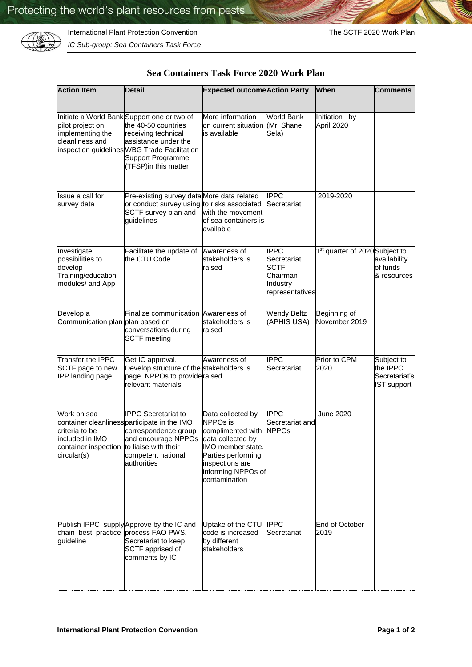

*IC Sub-group: Sea Containers Task Force*

| Sea Containers Task Force 2020 Work Plan |  |  |
|------------------------------------------|--|--|
|------------------------------------------|--|--|

| <b>Action Item</b>                                                                                           | <b>Detail</b>                                                                                                                                                                                                         | <b>Expected outcome Action Party</b>                                                                                                                                                |                                                                                      | <b>When</b>                                | <b>Comments</b>                                               |
|--------------------------------------------------------------------------------------------------------------|-----------------------------------------------------------------------------------------------------------------------------------------------------------------------------------------------------------------------|-------------------------------------------------------------------------------------------------------------------------------------------------------------------------------------|--------------------------------------------------------------------------------------|--------------------------------------------|---------------------------------------------------------------|
|                                                                                                              |                                                                                                                                                                                                                       |                                                                                                                                                                                     |                                                                                      |                                            |                                                               |
| pilot project on<br>implementing the<br>cleanliness and                                                      | Initiate a World Bank Support one or two of<br>the 40-50 countries<br>receiving technical<br>assistance under the<br>inspection guidelines WBG Trade Facilitation<br><b>Support Programme</b><br>(TFSP)in this matter | More information<br>on current situation<br>is available                                                                                                                            | <b>World Bank</b><br>(Mr. Shane<br>Sela)                                             | Initiation by<br>April 2020                |                                                               |
| Issue a call for<br>survey data                                                                              | Pre-existing survey data More data related<br>or conduct survey using to risks associated<br>SCTF survey plan and<br>guidelines                                                                                       | with the movement<br>of sea containers is<br>available                                                                                                                              | <b>IPPC</b><br>Secretariat                                                           | 2019-2020                                  |                                                               |
| Investigate<br>possibilities to<br>develop<br>Training/education<br>modules/ and App                         | Facilitate the update of<br>the CTU Code                                                                                                                                                                              | Awareness of<br>stakeholders is<br>raised                                                                                                                                           | <b>IPPC</b><br>Secretariat<br><b>SCTF</b><br>Chairman<br>Industry<br>representatives | 1 <sup>st</sup> quarter of 2020 Subject to | availability<br>of funds<br>& resources                       |
| Develop a<br>Communication plan plan based on                                                                | Finalize communication Awareness of<br>conversations during<br><b>SCTF</b> meeting                                                                                                                                    | stakeholders is<br>raised                                                                                                                                                           | <b>Wendy Beltz</b><br>(APHIS USA)                                                    | Beginning of<br>November 2019              |                                                               |
| Transfer the IPPC<br>SCTF page to new<br>IPP landing page                                                    | Get IC approval.<br>Develop structure of the stakeholders is<br>page. NPPOs to provide raised<br>relevant materials                                                                                                   | Awareness of                                                                                                                                                                        | <b>IPPC</b><br>Secretariat                                                           | Prior to CPM<br>2020                       | Subject to<br>the IPPC<br>Secretariat's<br><b>IST support</b> |
| Work on sea<br>criteria to be<br>included in IMO<br>container inspection to liaise with their<br>circular(s) | <b>IPPC</b> Secretariat to<br>container cleanliness participate in the IMO<br>correspondence group<br>and encourage NPPOs<br>competent national<br>authorities                                                        | Data collected by<br><b>NPPOs is</b><br>complimented with<br>data collected by<br>IMO member state.<br>Parties performing<br>inspections are<br>informing NPPOs of<br>contamination | <b>IPPC</b><br>Secretariat and<br><b>NPPOs</b>                                       | <b>June 2020</b>                           |                                                               |
| chain best practice process FAO PWS.<br>guideline                                                            | Publish IPPC supply Approve by the IC and<br>Secretariat to keep<br>SCTF apprised of<br>comments by IC                                                                                                                | Uptake of the CTU<br>code is increased<br>by different<br>stakeholders                                                                                                              | <b>IPPC</b><br>Secretariat                                                           | End of October<br>2019                     |                                                               |